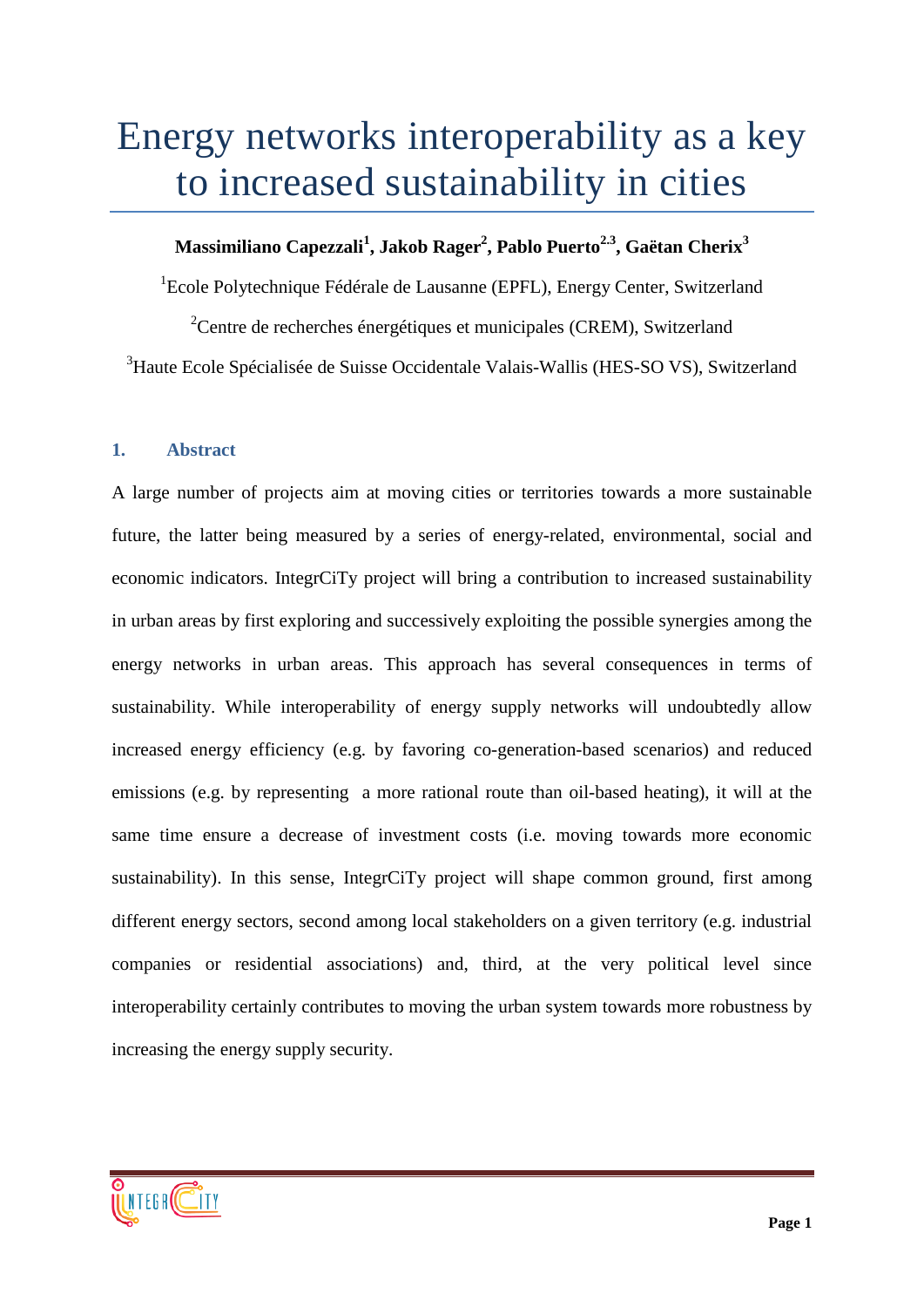# Energy networks interoperability as a key to increased sustainability in cities

# **Massimiliano Capezzali<sup>1</sup> , Jakob Rager2 , Pablo Puerto2.3, Gaëtan Cherix3**

<sup>1</sup>Ecole Polytechnique Fédérale de Lausanne (EPFL), Energy Center, Switzerland

<sup>2</sup>Centre de recherches énergétiques et municipales (CREM), Switzerland <sup>3</sup>Haute Ecole Spécialisée de Suisse Occidentale Valais-Wallis (HES-SO VS), Switzerland

# **1. Abstract**

A large number of projects aim at moving cities or territories towards a more sustainable future, the latter being measured by a series of energy-related, environmental, social and economic indicators. IntegrCiTy project will bring a contribution to increased sustainability in urban areas by first exploring and successively exploiting the possible synergies among the energy networks in urban areas. This approach has several consequences in terms of sustainability. While interoperability of energy supply networks will undoubtedly allow increased energy efficiency (e.g. by favoring co-generation-based scenarios) and reduced emissions (e.g. by representing a more rational route than oil-based heating), it will at the same time ensure a decrease of investment costs (i.e. moving towards more economic sustainability). In this sense, IntegrCiTy project will shape common ground, first among different energy sectors, second among local stakeholders on a given territory (e.g. industrial companies or residential associations) and, third, at the very political level since interoperability certainly contributes to moving the urban system towards more robustness by increasing the energy supply security.

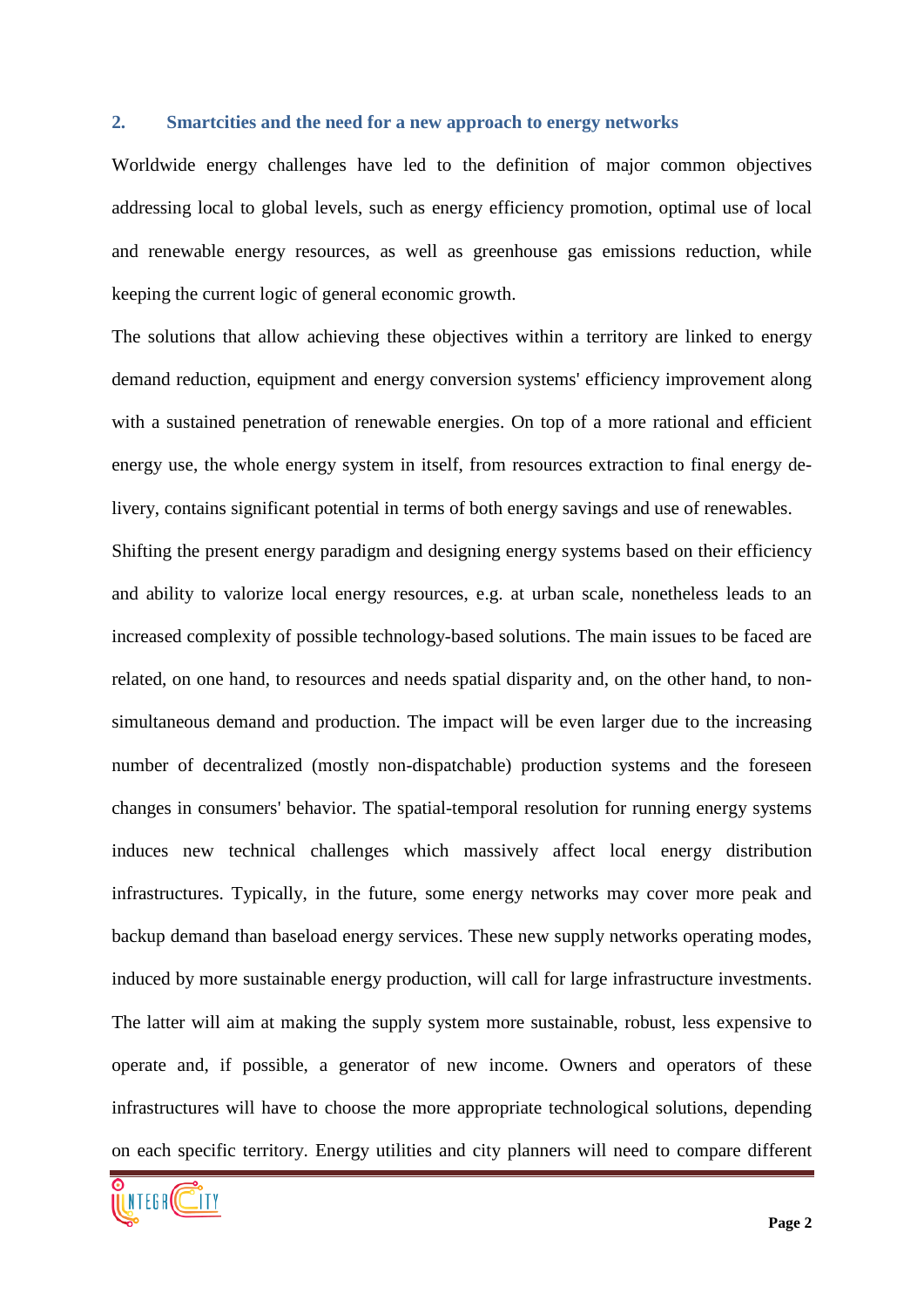#### **2. Smartcities and the need for a new approach to energy networks**

Worldwide energy challenges have led to the definition of major common objectives addressing local to global levels, such as energy efficiency promotion, optimal use of local and renewable energy resources, as well as greenhouse gas emissions reduction, while keeping the current logic of general economic growth.

The solutions that allow achieving these objectives within a territory are linked to energy demand reduction, equipment and energy conversion systems' efficiency improvement along with a sustained penetration of renewable energies. On top of a more rational and efficient energy use, the whole energy system in itself, from resources extraction to final energy delivery, contains significant potential in terms of both energy savings and use of renewables.

Shifting the present energy paradigm and designing energy systems based on their efficiency and ability to valorize local energy resources, e.g. at urban scale, nonetheless leads to an increased complexity of possible technology-based solutions. The main issues to be faced are related, on one hand, to resources and needs spatial disparity and, on the other hand, to nonsimultaneous demand and production. The impact will be even larger due to the increasing number of decentralized (mostly non-dispatchable) production systems and the foreseen changes in consumers' behavior. The spatial-temporal resolution for running energy systems induces new technical challenges which massively affect local energy distribution infrastructures. Typically, in the future, some energy networks may cover more peak and backup demand than baseload energy services. These new supply networks operating modes, induced by more sustainable energy production, will call for large infrastructure investments. The latter will aim at making the supply system more sustainable, robust, less expensive to operate and, if possible, a generator of new income. Owners and operators of these infrastructures will have to choose the more appropriate technological solutions, depending on each specific territory. Energy utilities and city planners will need to compare different

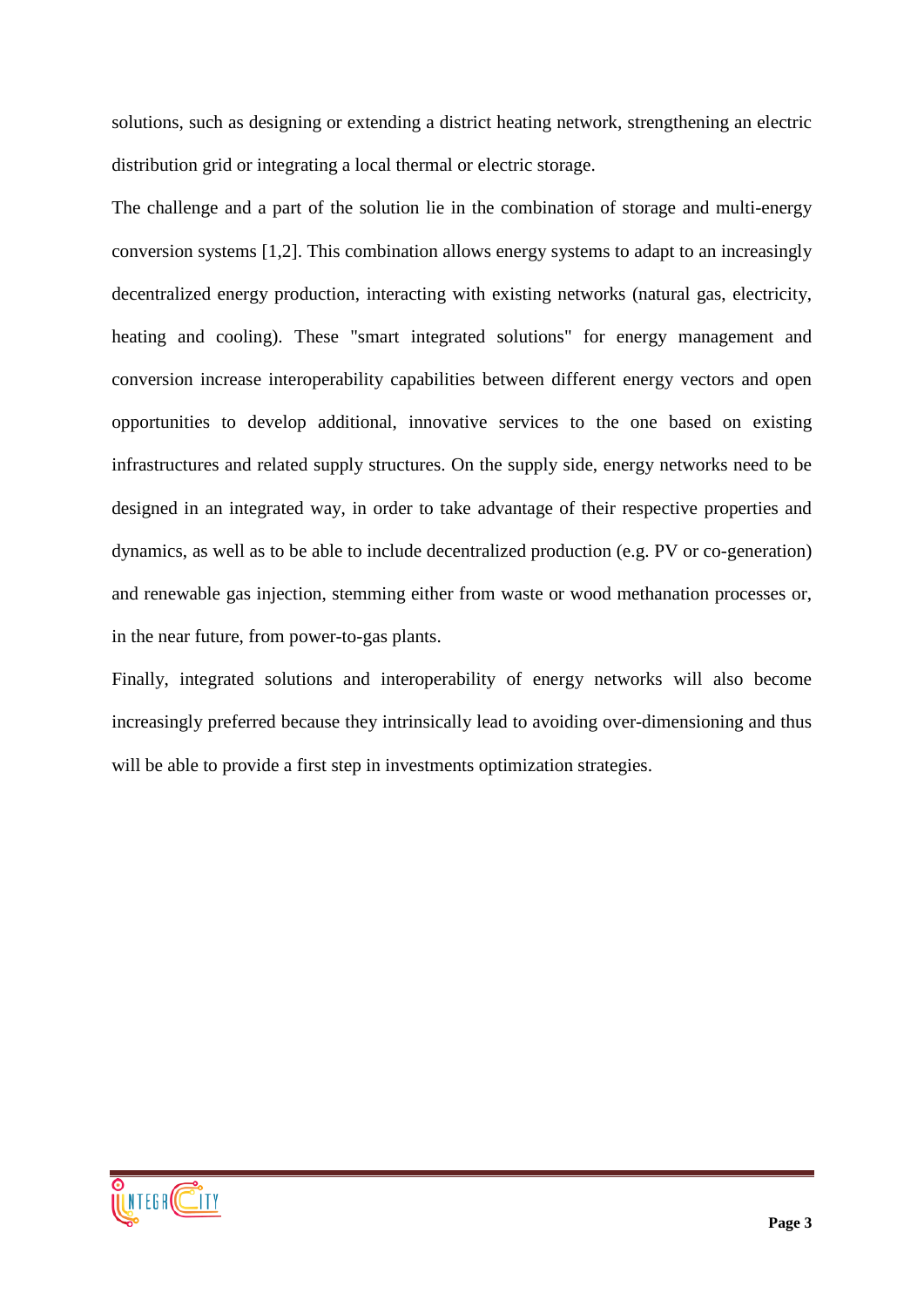solutions, such as designing or extending a district heating network, strengthening an electric distribution grid or integrating a local thermal or electric storage.

The challenge and a part of the solution lie in the combination of storage and multi-energy conversion systems [1,2]. This combination allows energy systems to adapt to an increasingly decentralized energy production, interacting with existing networks (natural gas, electricity, heating and cooling). These "smart integrated solutions" for energy management and conversion increase interoperability capabilities between different energy vectors and open opportunities to develop additional, innovative services to the one based on existing infrastructures and related supply structures. On the supply side, energy networks need to be designed in an integrated way, in order to take advantage of their respective properties and dynamics, as well as to be able to include decentralized production (e.g. PV or co-generation) and renewable gas injection, stemming either from waste or wood methanation processes or, in the near future, from power-to-gas plants.

Finally, integrated solutions and interoperability of energy networks will also become increasingly preferred because they intrinsically lead to avoiding over-dimensioning and thus will be able to provide a first step in investments optimization strategies.

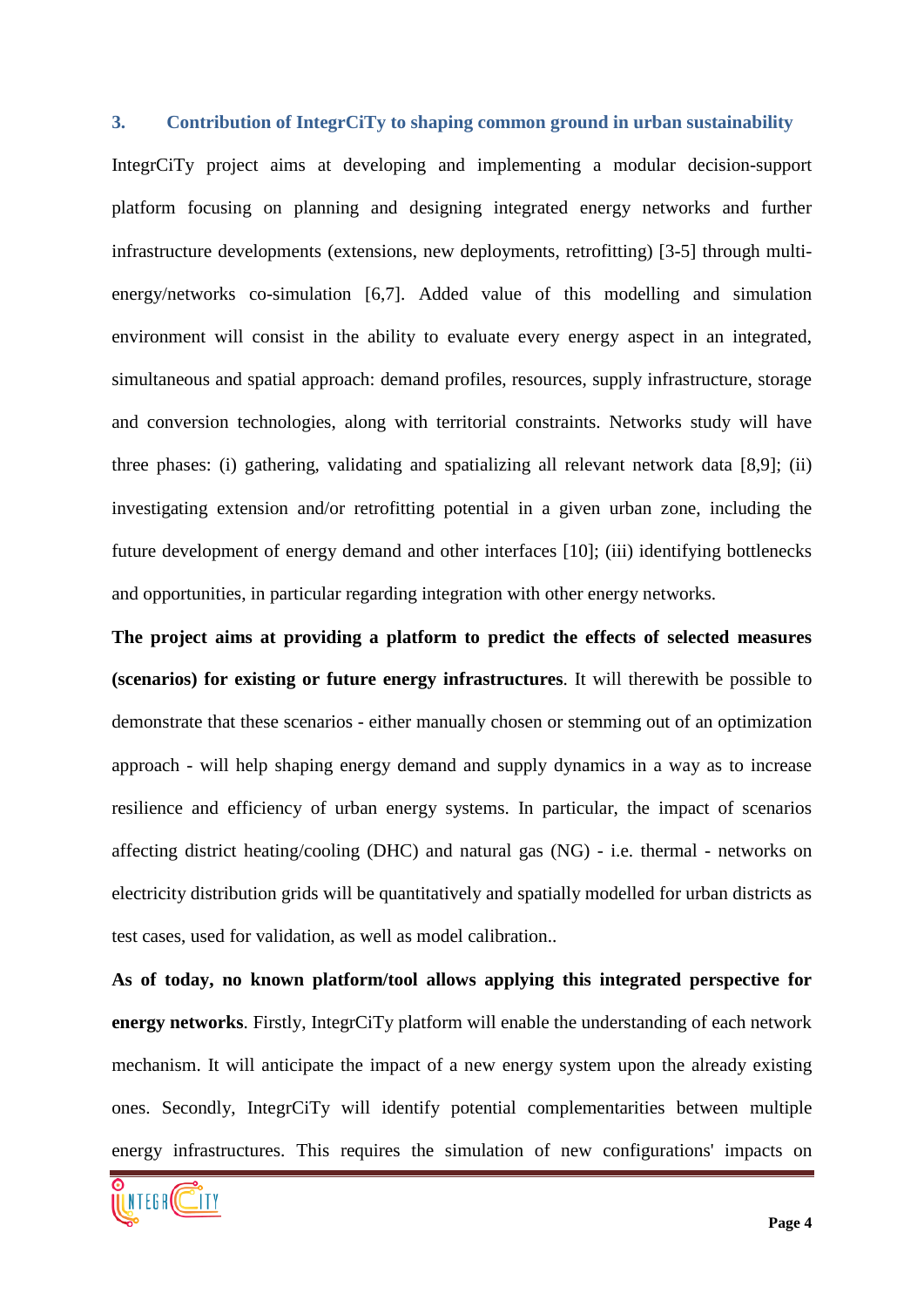## **3. Contribution of IntegrCiTy to shaping common ground in urban sustainability**

IntegrCiTy project aims at developing and implementing a modular decision-support platform focusing on planning and designing integrated energy networks and further infrastructure developments (extensions, new deployments, retrofitting) [3-5] through multienergy/networks co-simulation [6,7]. Added value of this modelling and simulation environment will consist in the ability to evaluate every energy aspect in an integrated, simultaneous and spatial approach: demand profiles, resources, supply infrastructure, storage and conversion technologies, along with territorial constraints. Networks study will have three phases: (i) gathering, validating and spatializing all relevant network data [8,9]; (ii) investigating extension and/or retrofitting potential in a given urban zone, including the future development of energy demand and other interfaces [10]; (iii) identifying bottlenecks and opportunities, in particular regarding integration with other energy networks.

**The project aims at providing a platform to predict the effects of selected measures (scenarios) for existing or future energy infrastructures**. It will therewith be possible to demonstrate that these scenarios - either manually chosen or stemming out of an optimization approach - will help shaping energy demand and supply dynamics in a way as to increase resilience and efficiency of urban energy systems. In particular, the impact of scenarios affecting district heating/cooling (DHC) and natural gas (NG) - i.e. thermal - networks on electricity distribution grids will be quantitatively and spatially modelled for urban districts as test cases, used for validation, as well as model calibration..

**As of today, no known platform/tool allows applying this integrated perspective for energy networks**. Firstly, IntegrCiTy platform will enable the understanding of each network mechanism. It will anticipate the impact of a new energy system upon the already existing ones. Secondly, IntegrCiTy will identify potential complementarities between multiple energy infrastructures. This requires the simulation of new configurations' impacts on

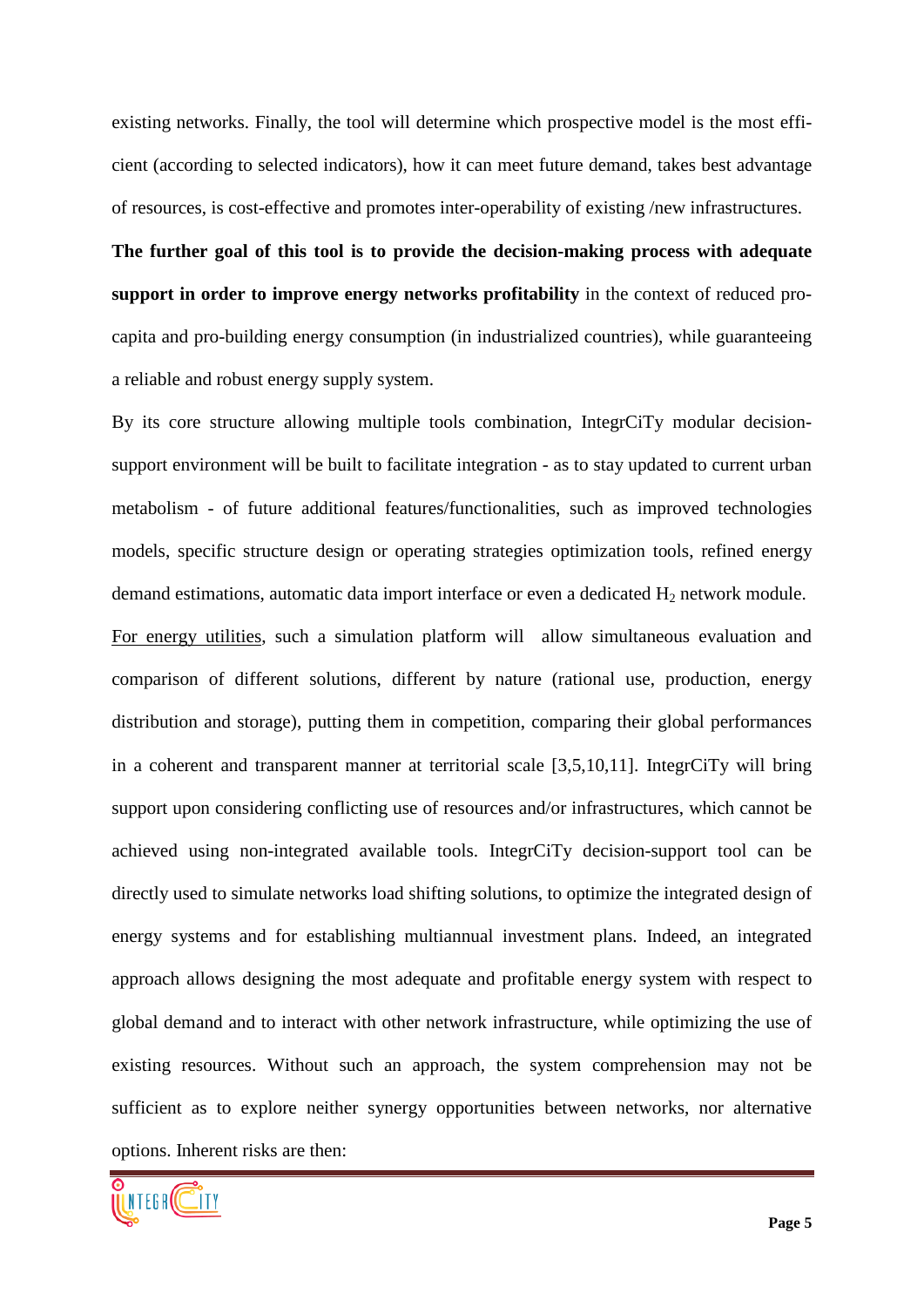existing networks. Finally, the tool will determine which prospective model is the most efficient (according to selected indicators), how it can meet future demand, takes best advantage of resources, is cost-effective and promotes inter-operability of existing /new infrastructures.

**The further goal of this tool is to provide the decision-making process with adequate support in order to improve energy networks profitability** in the context of reduced procapita and pro-building energy consumption (in industrialized countries), while guaranteeing a reliable and robust energy supply system.

By its core structure allowing multiple tools combination, IntegrCiTy modular decisionsupport environment will be built to facilitate integration - as to stay updated to current urban metabolism - of future additional features/functionalities, such as improved technologies models, specific structure design or operating strategies optimization tools, refined energy demand estimations, automatic data import interface or even a dedicated  $H_2$  network module. For energy utilities, such a simulation platform will allow simultaneous evaluation and comparison of different solutions, different by nature (rational use, production, energy distribution and storage), putting them in competition, comparing their global performances in a coherent and transparent manner at territorial scale [3,5,10,11]. IntegrCiTy will bring support upon considering conflicting use of resources and/or infrastructures, which cannot be achieved using non-integrated available tools. IntegrCiTy decision-support tool can be directly used to simulate networks load shifting solutions, to optimize the integrated design of energy systems and for establishing multiannual investment plans. Indeed, an integrated approach allows designing the most adequate and profitable energy system with respect to global demand and to interact with other network infrastructure, while optimizing the use of existing resources. Without such an approach, the system comprehension may not be sufficient as to explore neither synergy opportunities between networks, nor alternative options. Inherent risks are then:

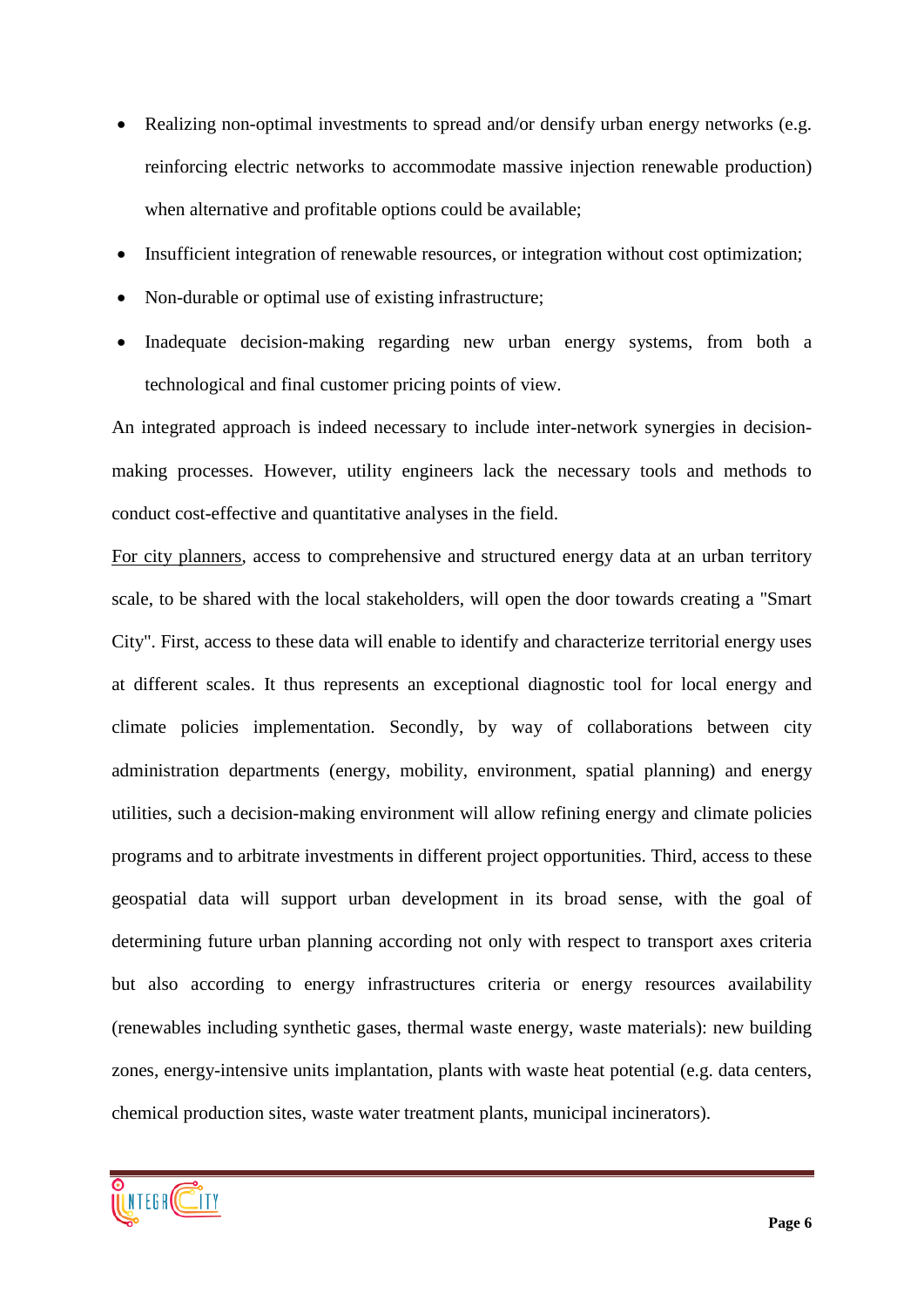- Realizing non-optimal investments to spread and/or densify urban energy networks (e.g. reinforcing electric networks to accommodate massive injection renewable production) when alternative and profitable options could be available;
- Insufficient integration of renewable resources, or integration without cost optimization;
- Non-durable or optimal use of existing infrastructure;
- Inadequate decision-making regarding new urban energy systems, from both a technological and final customer pricing points of view.

An integrated approach is indeed necessary to include inter-network synergies in decisionmaking processes. However, utility engineers lack the necessary tools and methods to conduct cost-effective and quantitative analyses in the field.

For city planners, access to comprehensive and structured energy data at an urban territory scale, to be shared with the local stakeholders, will open the door towards creating a "Smart City". First, access to these data will enable to identify and characterize territorial energy uses at different scales. It thus represents an exceptional diagnostic tool for local energy and climate policies implementation. Secondly, by way of collaborations between city administration departments (energy, mobility, environment, spatial planning) and energy utilities, such a decision-making environment will allow refining energy and climate policies programs and to arbitrate investments in different project opportunities. Third, access to these geospatial data will support urban development in its broad sense, with the goal of determining future urban planning according not only with respect to transport axes criteria but also according to energy infrastructures criteria or energy resources availability (renewables including synthetic gases, thermal waste energy, waste materials): new building zones, energy-intensive units implantation, plants with waste heat potential (e.g. data centers, chemical production sites, waste water treatment plants, municipal incinerators).

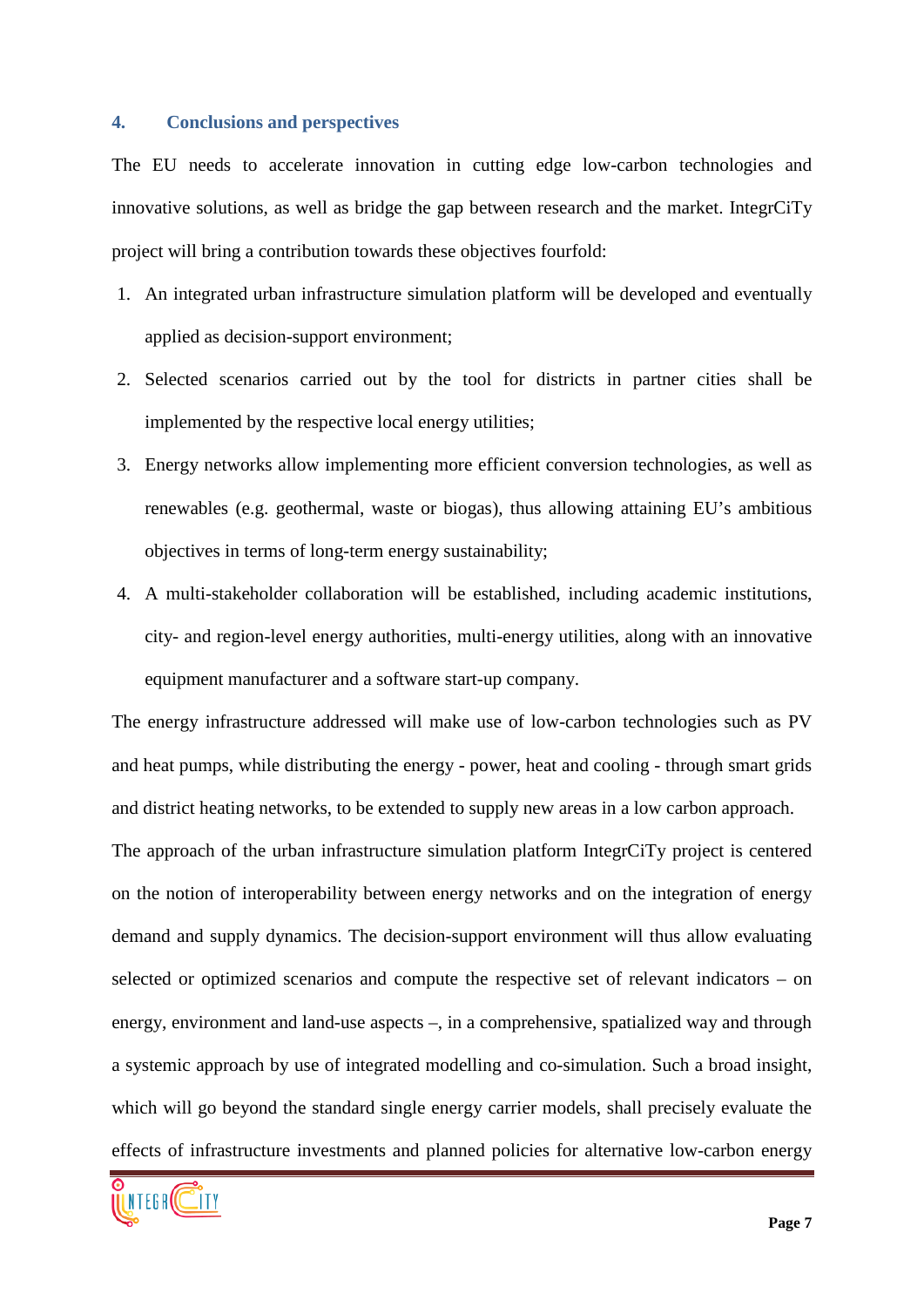#### **4. Conclusions and perspectives**

The EU needs to accelerate innovation in cutting edge low-carbon technologies and innovative solutions, as well as bridge the gap between research and the market. IntegrCiTy project will bring a contribution towards these objectives fourfold:

- 1. An integrated urban infrastructure simulation platform will be developed and eventually applied as decision-support environment;
- 2. Selected scenarios carried out by the tool for districts in partner cities shall be implemented by the respective local energy utilities;
- 3. Energy networks allow implementing more efficient conversion technologies, as well as renewables (e.g. geothermal, waste or biogas), thus allowing attaining EU's ambitious objectives in terms of long-term energy sustainability;
- 4. A multi-stakeholder collaboration will be established, including academic institutions, city- and region-level energy authorities, multi-energy utilities, along with an innovative equipment manufacturer and a software start-up company.

The energy infrastructure addressed will make use of low-carbon technologies such as PV and heat pumps, while distributing the energy - power, heat and cooling - through smart grids and district heating networks, to be extended to supply new areas in a low carbon approach.

The approach of the urban infrastructure simulation platform IntegrCiTy project is centered on the notion of interoperability between energy networks and on the integration of energy demand and supply dynamics. The decision-support environment will thus allow evaluating selected or optimized scenarios and compute the respective set of relevant indicators – on energy, environment and land-use aspects –, in a comprehensive, spatialized way and through a systemic approach by use of integrated modelling and co-simulation. Such a broad insight, which will go beyond the standard single energy carrier models, shall precisely evaluate the effects of infrastructure investments and planned policies for alternative low-carbon energy

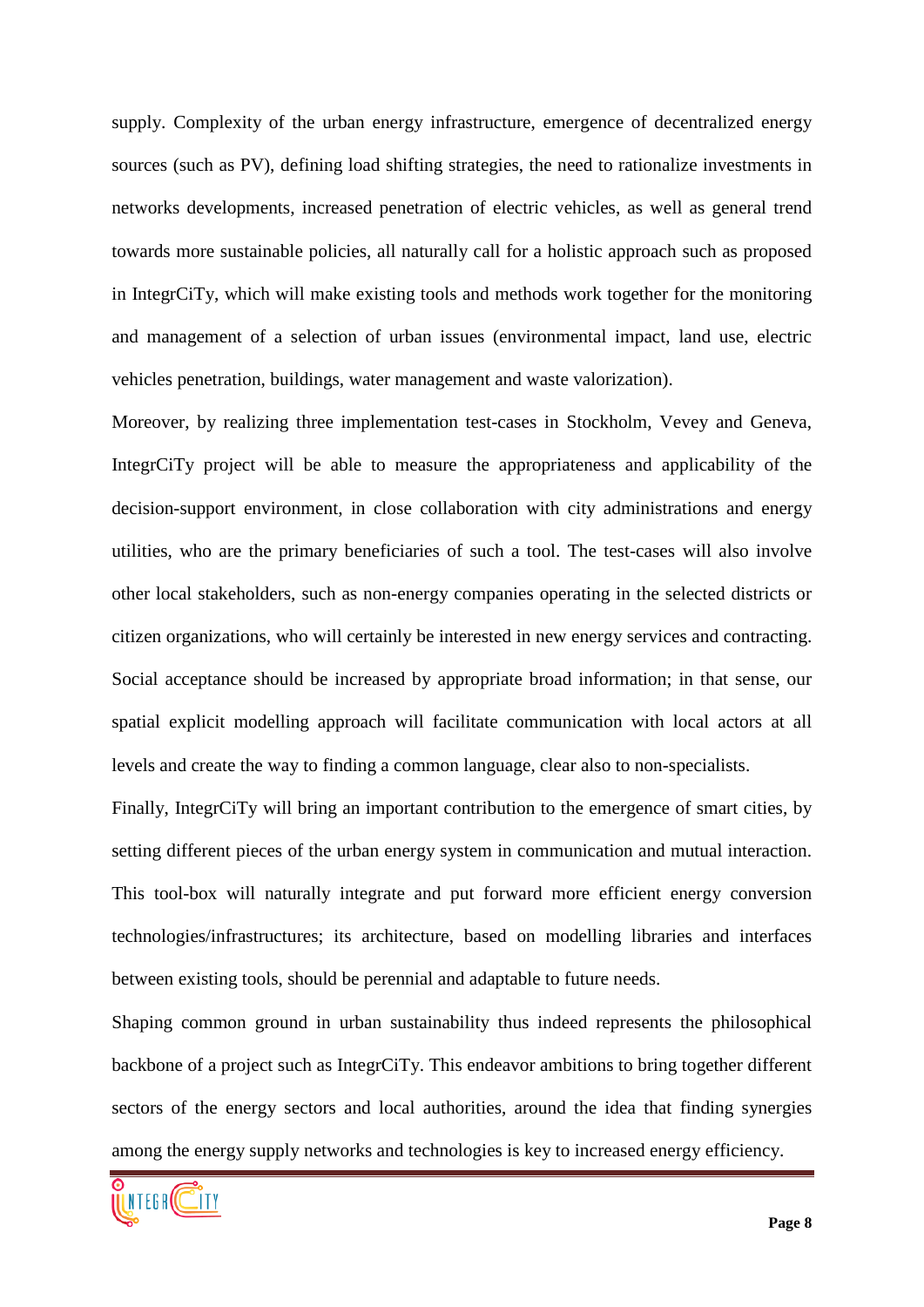supply. Complexity of the urban energy infrastructure, emergence of decentralized energy sources (such as PV), defining load shifting strategies, the need to rationalize investments in networks developments, increased penetration of electric vehicles, as well as general trend towards more sustainable policies, all naturally call for a holistic approach such as proposed in IntegrCiTy, which will make existing tools and methods work together for the monitoring and management of a selection of urban issues (environmental impact, land use, electric vehicles penetration, buildings, water management and waste valorization).

Moreover, by realizing three implementation test-cases in Stockholm, Vevey and Geneva, IntegrCiTy project will be able to measure the appropriateness and applicability of the decision-support environment, in close collaboration with city administrations and energy utilities, who are the primary beneficiaries of such a tool. The test-cases will also involve other local stakeholders, such as non-energy companies operating in the selected districts or citizen organizations, who will certainly be interested in new energy services and contracting. Social acceptance should be increased by appropriate broad information; in that sense, our spatial explicit modelling approach will facilitate communication with local actors at all levels and create the way to finding a common language, clear also to non-specialists.

Finally, IntegrCiTy will bring an important contribution to the emergence of smart cities, by setting different pieces of the urban energy system in communication and mutual interaction. This tool-box will naturally integrate and put forward more efficient energy conversion technologies/infrastructures; its architecture, based on modelling libraries and interfaces between existing tools, should be perennial and adaptable to future needs.

Shaping common ground in urban sustainability thus indeed represents the philosophical backbone of a project such as IntegrCiTy. This endeavor ambitions to bring together different sectors of the energy sectors and local authorities, around the idea that finding synergies among the energy supply networks and technologies is key to increased energy efficiency.

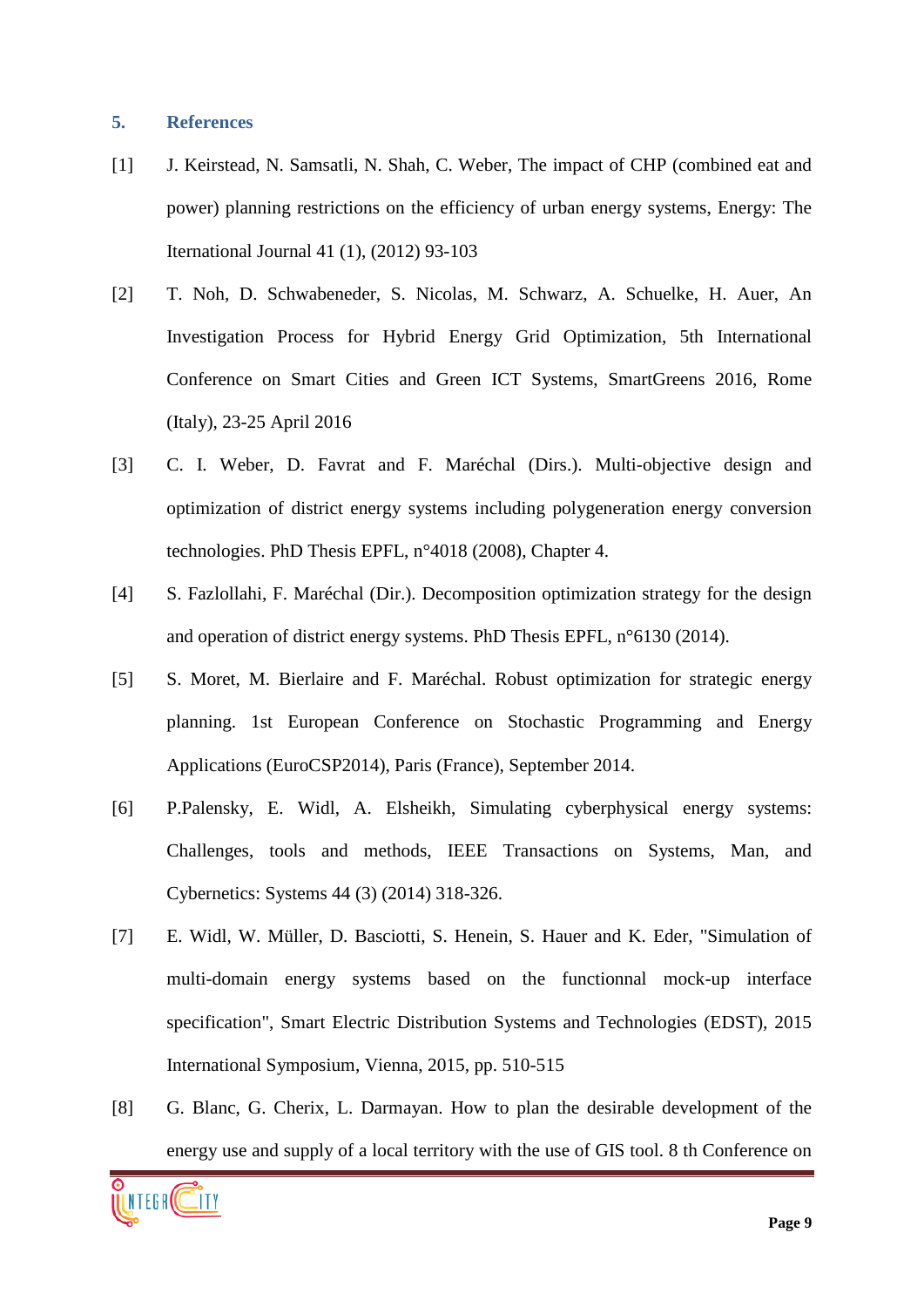## **5. References**

- [1] J. Keirstead, N. Samsatli, N. Shah, C. Weber, The impact of CHP (combined eat and power) planning restrictions on the efficiency of urban energy systems, Energy: The Iternational Journal 41 (1), (2012) 93-103
- [2] T. Noh, D. Schwabeneder, S. Nicolas, M. Schwarz, A. Schuelke, H. Auer, An Investigation Process for Hybrid Energy Grid Optimization, 5th International Conference on Smart Cities and Green ICT Systems, SmartGreens 2016, Rome (Italy), 23-25 April 2016
- [3] C. I. Weber, D. Favrat and F. Maréchal (Dirs.). Multi-objective design and optimization of district energy systems including polygeneration energy conversion technologies. PhD Thesis EPFL, n°4018 (2008), Chapter 4.
- [4] S. Fazlollahi, F. Maréchal (Dir.). Decomposition optimization strategy for the design and operation of district energy systems. PhD Thesis EPFL, n°6130 (2014).
- [5] S. Moret, M. Bierlaire and F. Maréchal. Robust optimization for strategic energy planning. 1st European Conference on Stochastic Programming and Energy Applications (EuroCSP2014), Paris (France), September 2014.
- [6] P.Palensky, E. Widl, A. Elsheikh, Simulating cyberphysical energy systems: Challenges, tools and methods, IEEE Transactions on Systems, Man, and Cybernetics: Systems 44 (3) (2014) 318-326.
- [7] E. Widl, W. Müller, D. Basciotti, S. Henein, S. Hauer and K. Eder, "Simulation of multi-domain energy systems based on the functionnal mock-up interface specification", Smart Electric Distribution Systems and Technologies (EDST), 2015 International Symposium, Vienna, 2015, pp. 510-515
- [8] G. Blanc, G. Cherix, L. Darmayan. How to plan the desirable development of the energy use and supply of a local territory with the use of GIS tool. 8 th Conference on